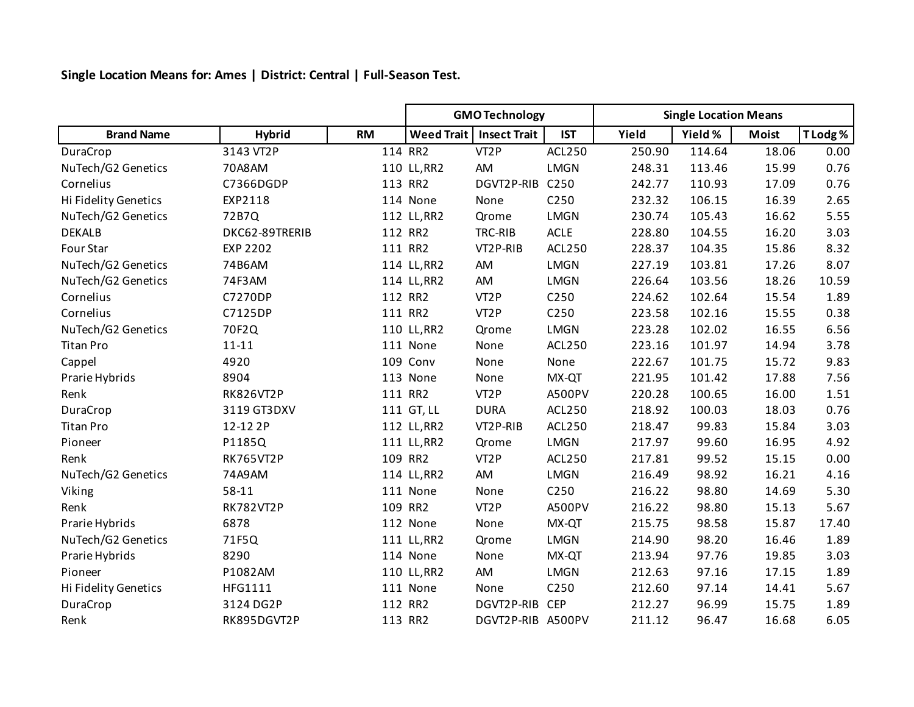**Single Location Means for: Ames | District: Central | Full-Season Test.**

|                      |                  |           | <b>GMO Technology</b> |                     |                  | <b>Single Location Means</b> |         |              |          |
|----------------------|------------------|-----------|-----------------------|---------------------|------------------|------------------------------|---------|--------------|----------|
| <b>Brand Name</b>    | <b>Hybrid</b>    | <b>RM</b> | <b>Weed Trait</b>     | <b>Insect Trait</b> | <b>IST</b>       | Yield                        | Yield % | <b>Moist</b> | T Lodg % |
| DuraCrop             | 3143 VT2P        |           | 114 RR2               | VT <sub>2</sub> P   | ACL250           | 250.90                       | 114.64  | 18.06        | 0.00     |
| NuTech/G2 Genetics   | 70A8AM           |           | 110 LL, RR2           | AM                  | <b>LMGN</b>      | 248.31                       | 113.46  | 15.99        | 0.76     |
| Cornelius            | C7366DGDP        |           | 113 RR2               | DGVT2P-RIB          | C250             | 242.77                       | 110.93  | 17.09        | 0.76     |
| Hi Fidelity Genetics | EXP2118          |           | 114 None              | None                | C <sub>250</sub> | 232.32                       | 106.15  | 16.39        | 2.65     |
| NuTech/G2 Genetics   | 72B7Q            |           | 112 LL, RR2           | Qrome               | <b>LMGN</b>      | 230.74                       | 105.43  | 16.62        | 5.55     |
| <b>DEKALB</b>        | DKC62-89TRERIB   |           | 112 RR2               | TRC-RIB             | <b>ACLE</b>      | 228.80                       | 104.55  | 16.20        | 3.03     |
| Four Star            | <b>EXP 2202</b>  |           | 111 RR2               | VT2P-RIB            | ACL250           | 228.37                       | 104.35  | 15.86        | 8.32     |
| NuTech/G2 Genetics   | 74B6AM           |           | 114 LL, RR2           | AM                  | <b>LMGN</b>      | 227.19                       | 103.81  | 17.26        | 8.07     |
| NuTech/G2 Genetics   | 74F3AM           |           | 114 LL, RR2           | AM                  | <b>LMGN</b>      | 226.64                       | 103.56  | 18.26        | 10.59    |
| Cornelius            | C7270DP          |           | 112 RR2               | VT <sub>2</sub> P   | C250             | 224.62                       | 102.64  | 15.54        | 1.89     |
| Cornelius            | C7125DP          |           | 111 RR2               | VT <sub>2</sub> P   | C <sub>250</sub> | 223.58                       | 102.16  | 15.55        | 0.38     |
| NuTech/G2 Genetics   | 70F2Q            |           | 110 LL, RR2           | Qrome               | <b>LMGN</b>      | 223.28                       | 102.02  | 16.55        | 6.56     |
| <b>Titan Pro</b>     | $11 - 11$        |           | 111 None              | None                | ACL250           | 223.16                       | 101.97  | 14.94        | 3.78     |
| Cappel               | 4920             |           | 109 Conv              | None                | None             | 222.67                       | 101.75  | 15.72        | 9.83     |
| Prarie Hybrids       | 8904             |           | 113 None              | None                | MX-QT            | 221.95                       | 101.42  | 17.88        | 7.56     |
| Renk                 | <b>RK826VT2P</b> |           | 111 RR2               | VT <sub>2</sub> P   | A500PV           | 220.28                       | 100.65  | 16.00        | 1.51     |
| DuraCrop             | 3119 GT3DXV      |           | 111 GT, LL            | <b>DURA</b>         | ACL250           | 218.92                       | 100.03  | 18.03        | 0.76     |
| <b>Titan Pro</b>     | 12-12 2P         |           | 112 LL, RR2           | VT2P-RIB            | ACL250           | 218.47                       | 99.83   | 15.84        | 3.03     |
| Pioneer              | P1185Q           |           | 111 LL, RR2           | Qrome               | <b>LMGN</b>      | 217.97                       | 99.60   | 16.95        | 4.92     |
| Renk                 | <b>RK765VT2P</b> |           | 109 RR2               | VT <sub>2</sub> P   | <b>ACL250</b>    | 217.81                       | 99.52   | 15.15        | 0.00     |
| NuTech/G2 Genetics   | 74A9AM           |           | 114 LL, RR2           | AM                  | <b>LMGN</b>      | 216.49                       | 98.92   | 16.21        | 4.16     |
| Viking               | 58-11            |           | 111 None              | None                | C <sub>250</sub> | 216.22                       | 98.80   | 14.69        | 5.30     |
| Renk                 | <b>RK782VT2P</b> | 109       | RR <sub>2</sub>       | VT <sub>2</sub> P   | A500PV           | 216.22                       | 98.80   | 15.13        | 5.67     |
| Prarie Hybrids       | 6878             |           | 112 None              | None                | MX-QT            | 215.75                       | 98.58   | 15.87        | 17.40    |
| NuTech/G2 Genetics   | 71F5Q            |           | 111 LL, RR2           | Qrome               | <b>LMGN</b>      | 214.90                       | 98.20   | 16.46        | 1.89     |
| Prarie Hybrids       | 8290             |           | 114 None              | None                | MX-QT            | 213.94                       | 97.76   | 19.85        | 3.03     |
| Pioneer              | P1082AM          |           | 110 LL, RR2           | AM                  | <b>LMGN</b>      | 212.63                       | 97.16   | 17.15        | 1.89     |
| Hi Fidelity Genetics | HFG1111          |           | 111 None              | None                | C <sub>250</sub> | 212.60                       | 97.14   | 14.41        | 5.67     |
| DuraCrop             | 3124 DG2P        |           | 112 RR2               | DGVT2P-RIB          | <b>CEP</b>       | 212.27                       | 96.99   | 15.75        | 1.89     |
| Renk                 | RK895DGVT2P      |           | 113 RR2               | DGVT2P-RIB A500PV   |                  | 211.12                       | 96.47   | 16.68        | 6.05     |